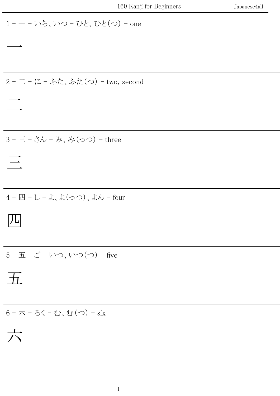$$
1 - \frac{1}{1 - \frac{1}{2} + \frac{1}{2} + \frac{1}{2} + \frac{1}{2} + \frac{1}{2} + \frac{1}{2} + \frac{1}{2} + \frac{1}{2} + \frac{1}{2} + \frac{1}{2} + \frac{1}{2} + \frac{1}{2} + \frac{1}{2} + \frac{1}{2} + \frac{1}{2} + \frac{1}{2} + \frac{1}{2} + \frac{1}{2} + \frac{1}{2} + \frac{1}{2} + \frac{1}{2} + \frac{1}{2} + \frac{1}{2} + \frac{1}{2} + \frac{1}{2} + \frac{1}{2} + \frac{1}{2} + \frac{1}{2} + \frac{1}{2} + \frac{1}{2} + \frac{1}{2} + \frac{1}{2} + \frac{1}{2} + \frac{1}{2} + \frac{1}{2} + \frac{1}{2} + \frac{1}{2} + \frac{1}{2} + \frac{1}{2} + \frac{1}{2} + \frac{1}{2} + \frac{1}{2} + \frac{1}{2} + \frac{1}{2} + \frac{1}{2} + \frac{1}{2} + \frac{1}{2} + \frac{1}{2} + \frac{1}{2} + \frac{1}{2} + \frac{1}{2} + \frac{1}{2} + \frac{1}{2} + \frac{1}{2} + \frac{1}{2} + \frac{1}{2} + \frac{1}{2} + \frac{1}{2} + \frac{1}{2} + \frac{1}{2} + \frac{1}{2} + \frac{1}{2} + \frac{1}{2} + \frac{1}{2} + \frac{1}{2} + \frac{1}{2} + \frac{1}{2} + \frac{1}{2} + \frac{1}{2} + \frac{1}{2} + \frac{1}{2} + \frac{1}{2} + \frac{1}{2} + \frac{1}{2} + \frac{1}{2} + \frac{1}{2} + \frac{1}{2} + \frac{1}{2} + \frac{1}{2} + \frac{1}{2} + \frac{1}{2} + \frac{1}{2} + \frac{1}{2} + \frac{1}{2} + \frac{1}{2} + \frac{1}{2} + \frac{1}{2} + \frac{1}{2} + \frac{1}{2} + \frac{1}{2} + \frac{1}{2} + \frac{1}{2} + \frac{1}{2} + \frac{1}{2
$$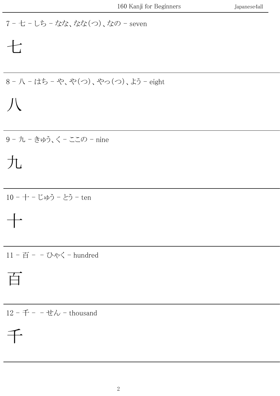7- t - L5 - k/k, k/k(0), k0 - seven  
\n-  
\n8- A - (t5 - R, R(0), R0, (0), L5 - eight  
\n-  
\n9- h - 
$$
\frac{1}{5}
$$
4b,  $\frac{1}{5}$  - Z20 - nine  
\n-  
\n-  
\n10- + - U $\phi$ 5 - L5 - ten  
\n-  
\n-  
\n11- F = - U $R$  - hundred  
\n-  
\n-  
\n12- F - - t $\lambda$  - thousand

千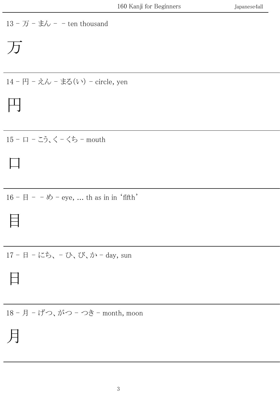13 - 万 - まん - - ten thousand 万 14 - 円 - えん - まる(い) - circle, yen 円 15 - 口 - こう、く - くち - mouth 口 16 - 目 - - め - eye, ... th as in in 'fifth' 目 17 - 日 - にち、 - ひ、び、か - day, sun 日 18 - 月 - げつ、がつ - つき - month, moon 月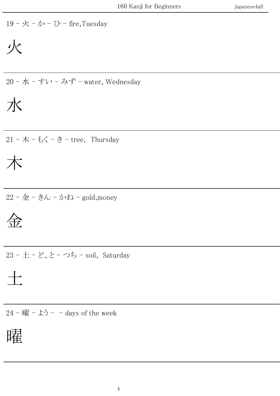$19 - \mathcal{K} - \mathcal{D} -$  fire, Tuesday

火

 $20 - K -$ すい - みず - water, Wednesday

$$
\not\exists K
$$

 $21 - \pi - 6$ く - き - tree, Thursday

$$
\overline{\bigwedge}
$$

22 - 金 - きん - かね - gold,money

$$
\bigoplus_{i=1}^n
$$

 $23 - \pm -\xi$ 、と - つち - soil, Saturday

$$
\pm
$$

 $24 - \frac{1}{2} - \frac{1}{2} - \frac{1}{2}$  days of the week

曜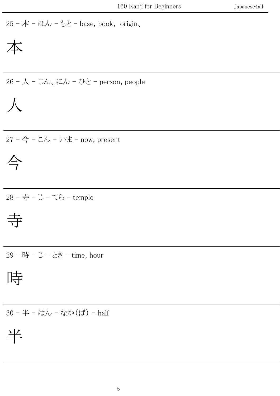$25 -$ 本 - ほん - もと - base, book, origin、

$$
\displaystyle\qquad \qquad \hbox{\large\#}
$$

 $26 - \lambda - \mathcal{C}\lambda$ 、にん - ひと - person, people

$$
\mathcal{N}_{\text{L}}
$$

 $27 - 4 - 5 - 10$  - いま - now, present

$$
\overleftarrow{\mathcal{T}}
$$

28 - 寺 - じ - てら - temple

$$
\frac{1}{\sqrt{2\pi}}
$$

29 - 時 - じ - とき - time, hour

$$
\prod_{i=1}^{n-1}
$$

30 - 半 - はん - なか(ば) - half

$$
\frac{\Delta L}{L}
$$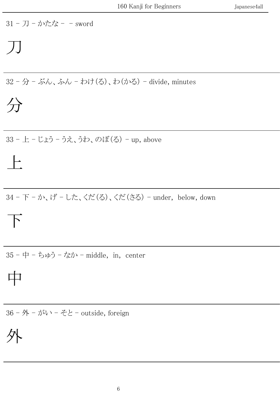31 - 刀 - かたな - - sword

# 刀

 $32 - 2 - 3 - 32 - 32 - 52$ 

$$
\overleftrightarrow{JJ}
$$

上

33 - 上 - じょう - うえ、うわ、のぼ(る) - up, above

34 - 下 - か、げ - した、くだ(る)、くだ(さる) - under, below, down



35 - 中 - ちゅう - なか - middle, in, center



36 - 外 - がい - そと - outside, foreign

外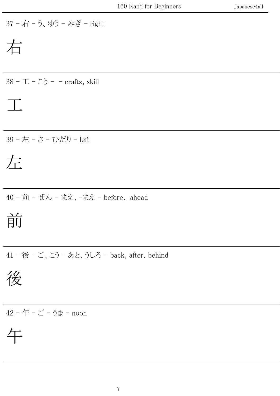### 37 - 右 - う、ゆう - みぎ - right

$$
\overleftarrow{\Box}
$$

 $38 - \pm - \leq 5 - \text{crafts, skill}$ 

$$
\mathbf{\underline{T}}
$$

39 - 左 - さ - ひだり - left

左

40 - 前 - ぜん - まえ、-まえ - before, ahead

前

41 - 後 - ご、こう - あと、うしろ - back, after. behind

後

42 - 午 - ご - うま - noon

$$
\overleftarrow{\mathrm{T}}
$$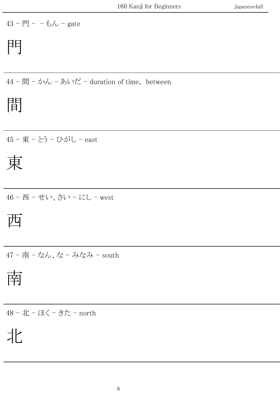43 - 門 - - もん - gate

### 門

 $44$  - 間 - かん - あいだ - duration of time, between



45 - 東 - とう - ひがし - east

東

46 - 西 - せい、さい - にし - west

西

47 - 南 - なん、な - みなみ - south

南

48 - 北 - ほく - きた - north

北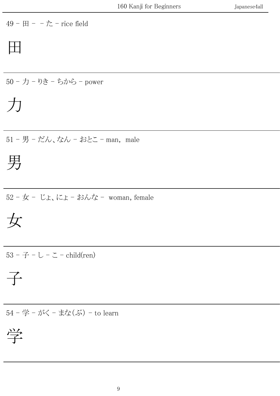49 - 田 - -た - rice field

$$
\mathop{\boxplus}
$$

50 - 力 - りき - ちから - power

$$
\sum_{i=1}^n \alpha_i
$$

51 - 男 - だん、なん - おとこ - man, male



52 - 女 - じょ、にょ - おんな - woman, female

$$
\overline{\mathcal{K}}
$$

53 - 子 - し - こ - child(ren)

$$
\overrightarrow{+}
$$

54 - 学 - がく - まな(ぶ) - to learn

$$
\frac{1}{2}
$$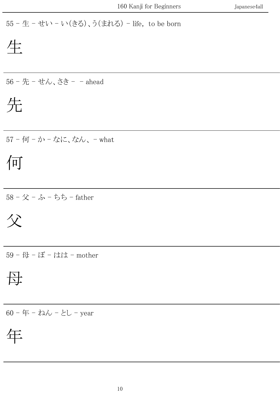55 - 生 - せい - い(きる)、う(まれる) - life, to be born

# 生

56 - 先 - せん、さき - - ahead

先

57 - 何 - か - なに、なん、 - what

何

58 - 父 - ふ - ちち - father

父

59 - 母 - ぼ - はは - mother

### 母

60 - 年 - ねん - とし - year

年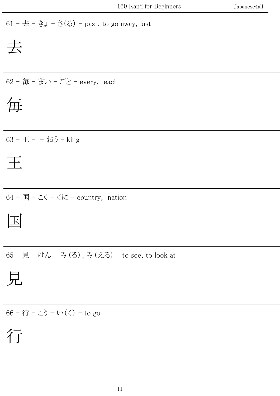61 -  $\pm$  -  $\xi$ <sub>+</sub> -  $\xi$ ( $\xi$ ) - past, to go away, last

$$
\frac{1}{\sqrt{2}}
$$

62 - 毎 - まい - ごと - every, each

毎

 $63 - \pm - - 35$  - king

$$
\overrightarrow{\pm}
$$

 $64 -$  $\boxed{ }$  -  $\boxed{ }$  -  $<<$  -  $<<$  - country, nation

国

65 - 見 - けん - み(る)、み(える) - to see, to look at

$$
\overline{\Xi}
$$

66 - 行 - こう - い(く) - to go

行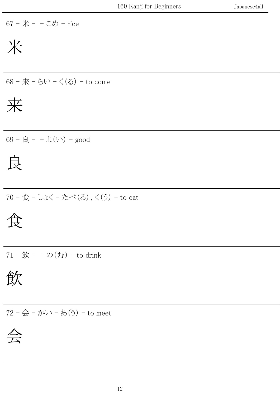67 - 米 - - こめ - rice

$$
\frac{1}{\sqrt{2}}
$$

68 - 来 - らい - く(る) - to come

来

 $69 - = - 1$  ( $\nu$ ) - good

$$
\not\exists
$$

70 - 食 - しょく - たべ(る)、く(う) - to eat

$$
\bigoplus_{i=1}^n
$$

71 - 飲 - - の(む) - to drink

飲

72 - 会 - かい - あ(う) - to meet

$$
\overleftarrow{\overleftarrow{\triangle}}
$$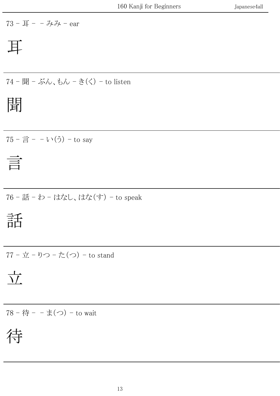#### 73 - 耳 - - みみ - ear

$$
\prod_{i=1}^n
$$

74 - 聞 - ぶん、もん - き(く) - to listen

聞

 $75 - \nvert \equiv - - \nu \cdot (5) - \text{to say}$ 



76 - 話 - わ - はなし、はな(す) - to speak

話

77 - 立 - りつ - た(つ) - to stand

$$
\frac{1}{\sqrt{L}}
$$

78 - 待 - - ま(つ) - to wait

待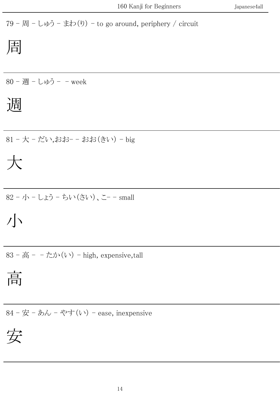$79 - \text{)} - \text{L} \phi$ う - まわ(り) - to go around, periphery / circuit

$$
\left|\overline{\vec{H}}\right|
$$

80 - 週 - しゅう - - week

### 週

81 - 大 - だい,おお- - おお(きい) - big

$$
\frac{1}{\sqrt{2}}
$$

82 - 小 - しょう - ちい(さい)、こ- - small

小

 $83 - \overline{4} - \overline{5}$  +  $- \overline{5}$   $\rightarrow$  ( $\overline{6}$ ) - high, expensive, tall

$$
\frac{1}{\left|\frac{1}{\prod}\right|}
$$

84 - 安 - あん - やす(い) - ease, inexpensive

$$
\overleftrightarrow{\mathcal{K}}
$$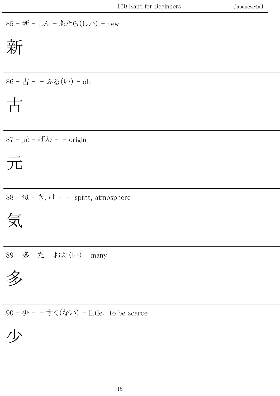85 - 新 - しん - あたら(しい) - new

新

86 - 古 - - ふる(い) - old

$$
\overrightarrow{\Box}
$$

87 - 元 - げん - - origin

# 元

88 - 気 - き、け - - spirit, atmosphere

$$
\overleftarrow{\overline{\mathcal{K}}}
$$

89 - 多 - た - おお(い) - many

$$
\overline{\cancel{2\!}}
$$

90 - 少 - - すく(ない) - little, to be scarce

$$
\big\langle \bigcup \big\rangle
$$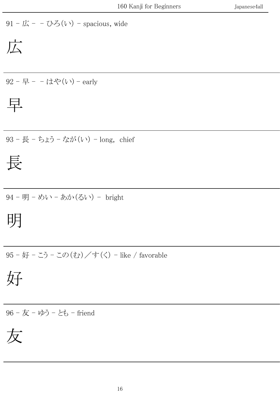#### $91 - \cancel{\pi}$  -  $-\bigcirc$  3(い) - spacious, wide

$$
\prod_{i=1}^{n} \alpha_i
$$

92 - 早 - - はや(い) - early

$$
\frac{\prod\limits_{i=1}^{n}a_i}{\prod\limits_{i=1}^{n}a_i}
$$

93 - 長 - ちょう - なが(い) - long, chief

$$
\overline{\mathbb{R}}
$$

94 - 明 - めい - あか(るい) - bright

明

95 - 好 - こう - この(む)/す(く) - like / favorable

好

96 - 友 - ゆう - とも - friend

$$
\overline{\not\!\!{\cal K}}
$$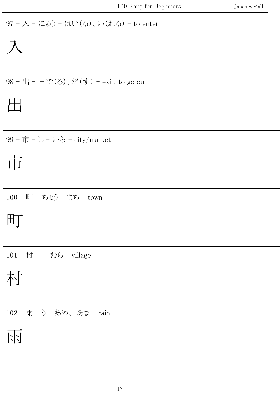97 - 入 - にゅう - はい(る)、い(れる) - to enter

$$
\overline{\mathcal{N}}
$$

98 - 出 - - で(る)、だ(す) - exit, to go out

$$
\bigsqcup_{i=1}^n
$$

99 - 市 - し - いち - city/market

# 市

100 - 町 - ちょう - まち - town

### 町

101 - 村 - - むら - village

村

102 - 雨 - う - あめ、 -あま - rain

# 雨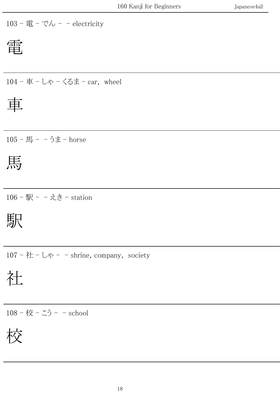103 - 電 - でん - - electricity

電

104 - 車 - しゃ - くるま - car, wheel

車

105 - 馬 - - うま - horse

馬

106 - 駅 - - えき - station

駅

107 - 社 - しゃ - - shrine, company, society

社

108 - 校 - こう - - school

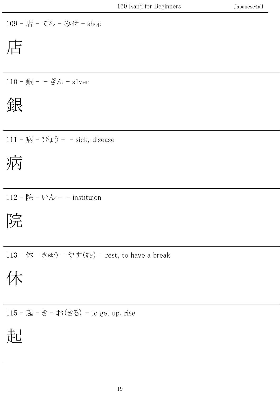109 - 店 - てん - みせ - shop

店

110 - 銀 - - ぎん - silver

銀

111 - 病 - びょう - - sick, disease

病

112 - 院 - いん - - instituion

院

113 - 休 - きゅう - やす(む) - rest, to have a break

休

115 - 起 - き - お(きる) - to get up, rise

起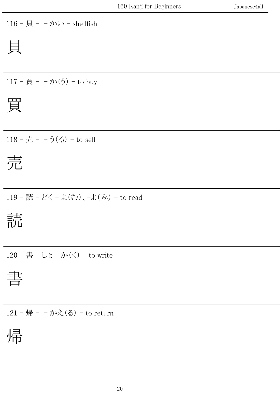$116 - 116 - - \text{b}$ 

$$
\overline{a}
$$

 $117 -$ 買 -  $-\pi$ <sup>2</sup>(う) - to buy

$$
\overline{\mathbb{H}}
$$

118 - 売 - -う(る) - to sell

売

119 - 読 - どく - よ(む)、-よ(み) - to read

読

120 - 書 - しょ - か(く) - to write

書

121 - 帰 - - かえ(る) - to return

ً
$$
\frac{1}{\sqrt{11}}
$$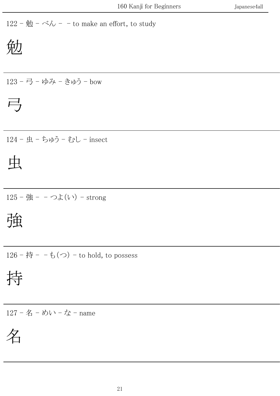122 - 勉 - べん - - to make an effort, to study 勉 123 - 弓 - ゆみ - きゅう - bow 弓 124 - 虫 - ちゅう - むし - insect 虫 125 - 強 - - つよ(い) - strong 強 126 - 持 - - も(つ) - to hold, to possess 持 127 - 名 - めい - な - name 名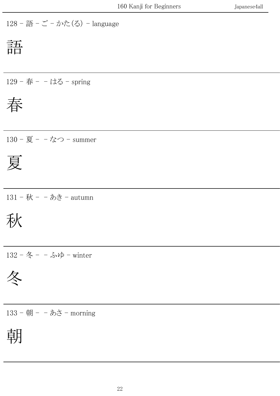128 - 語 - ご - かた(る) - language

$$
\begin{array}{c}\n\exists \overline{\textbf{H}} \\
\overline{\textbf{H}}\overline{\textbf{H}}\n\end{array}
$$

129 - 春 - - はる - spring

春

130 - 夏 - -なつ - summer

$$
\overline{\not\equiv}
$$

131 - 秋 - - あき - autumn

秋

132 - 冬 - - ふゆ - winter

$$
\stackrel{\displaystyle\mathop{\not\!\!\!\!\! \times}}{\displaystyle\rightleftharpoons}
$$

133 - 朝 - - あさ - morning

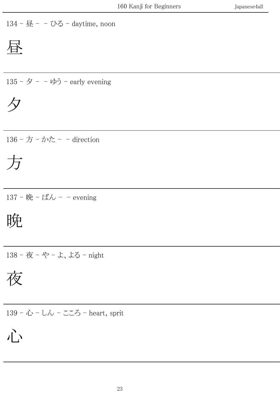134 - 昼 - - ひる - daytime, noon

$$
\underline{\overline{\textbf{B}}}
$$

135 -  $\dot{\varphi}$  - -  $\dot{\varphi}$  - early evening

夕

136 - 方 - かた - - direction

方

137 - 晩 - ばん - - evening

晩

138 - 夜 - や - よ、よる - night

夜

139 - 心 - しん - こころ - heart, sprit

# 心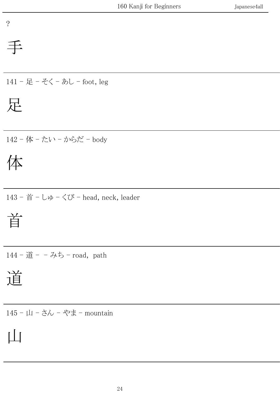#### ?

### 手

141 - 足 - そく - あし - foot, leg

足

142 - 体 - たい - からだ - body

体

143 - 首 - しゅ - くび - head, neck, leader

首

144 - 道 - -みち - road, path

道

145 - 山 - さん - やま - mountain

# 山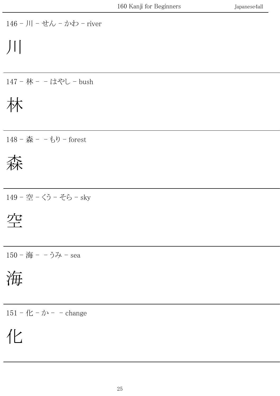### 146 - 川 - せん - かわ - river

# 川

147 - 林 - - はやし - bush

林

148 - 森 - - もり - forest

森

149 - 空 - くう - そら - sky

空

150 - 海 - - うみ - sea

海

 $151 - (L - \lambda)$  - - change

# 化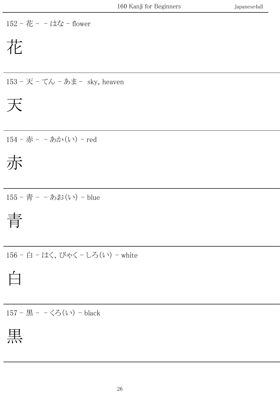#### 152 - 花 - - はな - flower

花

153 - 天 - てん - あま - sky, heaven

$$
\overline{\mathcal{K}}
$$

154 - 赤 - - あか(い) - red

赤

155 - 青 - - あお(い) - blue

青

156 - 白 - はく、 びゃく - しろ(い) - white

$$
\prod^{\prime}
$$

157 - 黒 - -<ろ(い) - black

$$
\frac{\textcolor{blue}{\textbf{41}}}{\textcolor{blue}{\textbf{41}}}
$$